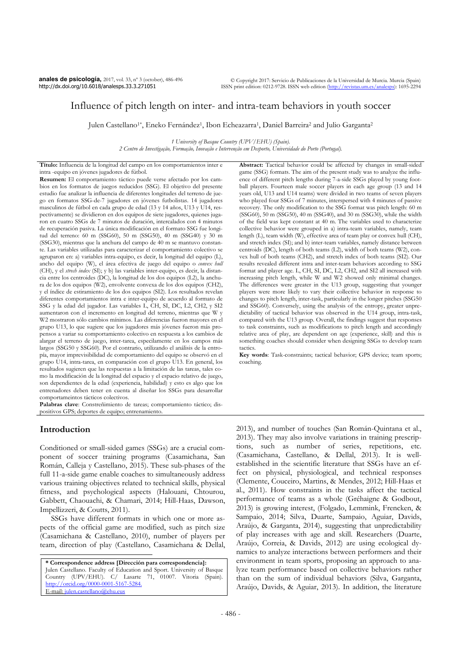# Influence of pitch length on inter- and intra-team behaviors in youth soccer

Julen Castellano<sup>1\*</sup>, Eneko Fernández<sup>1</sup>, Ibon Echeazarra<sup>1</sup>, Daniel Barreira<sup>2</sup> and Julio Garganta<sup>2</sup>

*1 University of Basque Country (UPV/EHU) (Spain). 2 Centro de Investigação, Formação, Inovação e Intervenção em Desporto, Universidade do Porto (Portugal).* 

**Título:** Influencia de la longitud del campo en los comportamientos inter e intra -equipo en jóvenes jugadores de fútbol.

**Resumen:** El comportamiento táctico puede verse afectado por los cambios en los formatos de juegos reducidos (SSG). El objetivo del presente estudio fue analizar la influencia de diferentes longitudes del terreno de juego en formatos SSG-de-7 jugadores en jóvenes futbolistas. 14 jugadores masculinos de fútbol en cada grupo de edad (13 y 14 años, U13 y U14, respectivamente) se dividieron en dos equipos de siete jugadores, quienes jugaron en cuatro SSGs de 7 minutos de duración, intercalados con 4 minutos de recuperación pasiva. La única modificación en el formato SSG fue longitud del terreno: 60 m (SSG60), 50 m (SSG50), 40 m (SSG40) y 30 m (SSG30), mientras que la anchura del campo de 40 m se mantuvo constante. Las variables utilizadas para caracterizar el comportamiento colectivo se agruparon en: a) variables intra-equipo, es decir, la longitud del equipo (L), ancho del equipo (W), el área efectiva de juego del equipo o *convex hull* (CH), y el *strech index* (SI); y b) las variables inter-equipo, es decir, la distancia entre los centroides (DC), la longitud de los dos equipos (L2), la anchura de los dos equipos (W2), envolvente convexa de los dos equipos (CH2), y el índice de estiramiento de los dos equipos (SI2). Los resultados revelan diferentes comportamientos intra e inter-equipo de acuerdo al formato de SSG y la edad del jugador. Las variables L, CH, SI, DC, L2, CH2, y SI2 aumentaron con el incremento en longitud del terreno, mientras que W y W2 mostraron sólo cambios mínimos. Las diferencias fueron mayores en el grupo U13, lo que sugiere que los jugadores más jóvenes fueron más propensos a variar su comportamiento colectivo en respuesta a los cambios de alargar el terreno de juego, inter-tarea, especilamente en los campos más largos (SSG50 y SSG60). Por el contrario, utilizando el análisis de la entropía, mayor imprevisibilidad de comportamiento del equipo se observó en el grupo U14, intra-tarea, en comparación con el grupo U13. En general, los resultados sugieren que las respuestas a la limitación de las tareas, tales como la modificación de la longitud del espacio y el espacio relativo de juego, son dependientes de la edad (experiencia, habilidad) y esto es algo que los entrenadores deben tener en cuenta al diseñar los SSGs para desarrollar comportameintos tácticos colectivos.

**Palabras clave**: Constreñimiento de tareas; comportamiento táctico; dispositivos GPS; deportes de equipo; entrenamiento.

# **Introduction**

 $\overline{a}$ 

Conditioned or small-sided games (SSGs) are a crucial component of soccer training programs (Casamichana, San Román, Calleja y Castellano, 2015). These sub-phases of the full 11-a-side game enable coaches to simultaneously address various training objectives related to technical skills, physical fitness, and psychological aspects (Halouani, Chtourou, Gabbett, Chaouachi, & Chamari, 2014; Hill-Haas, Dawson, Impellizzeri, & Coutts, 2011).

SSGs have different formats in which one or more aspects of the official game are modified, such as pitch size (Casamichana & Castellano, 2010), number of players per team, direction of play (Castellano, Casamichana & Dellal,

**\* Correspondence address [Dirección para correspondencia]:**  Julen Castellano. Faculty of Education and Sport. University of Basque Country (UPV/EHU). C/ Lasarte 71, 01007. Vitoria (Spain). http://orcid.org/0000-0001-5167-5284. E-mail: julen.castellano@ehu.eus

**Abstract:** Tactical behavior could be affected by changes in small-sided game (SSG) formats. The aim of the present study was to analyze the influence of different pitch lengths during 7-a-side SSGs played by young football players. Fourteen male soccer players in each age group (13 and 14 years old, U13 and U14 teams) were divided in two teams of seven players who played four SSGs of 7 minutes, interspersed with 4 minutes of passive recovery. The only modification to the SSG format was pitch length: 60 m (SSG60), 50 m (SSG50), 40 m (SSG40), and 30 m (SSG30), while the width of the field was kept constant at 40 m. The variables used to characterize collective behavior were grouped in a) intra-team variables, namely, team length (L), team width (W), effective area of team play or convex hull (CH), and stretch index (SI); and b) inter-team variables, namely distance between centroids (DC), length of both teams (L2), width of both teams (W2), convex hull of both teams (CH2), and stretch index of both teams (SI2). Our results revealed different intra and inter-team behaviors according to SSG format and player age. L, CH, SI, DC, L2, CH2, and SI2 all increased with increasing pitch length, while W and W2 showed only minimal changes. The differences were greater in the U13 group, suggesting that younger players were more likely to vary their collective behavior in response to changes to pitch length, inter-task, particularly in the longer pitches (SSG50 and SSG60). Conversely, using the analysis of the entropy, greater unpredictability of tactical behavior was observed in the U14 group, intra-task, compared with the U13 group. Overall, the findings suggest that responses to task constraints, such as modifications to pitch length and accordingly relative area of play, are dependent on age (experience, skill) and this is something coaches should consider when designing SSGs to develop team tactics.

**Key words**: Task-constraints; tactical behavior; GPS device; team sports; coaching.

2013), and number of touches (San Román-Quintana et al., 2013). They may also involve variations in training prescriptions, such as number of series, repetitions, etc. (Casamichana, Castellano, & Dellal, 2013). It is wellestablished in the scientific literature that SSGs have an effect on physical, physiological, and technical responses (Clemente, Couceiro, Martins, & Mendes, 2012; Hill-Haas et al., 2011). How constraints in the tasks affect the tactical performance of teams as a whole (Gréhaigne & Godbout, 2013) is growing interest, (Folgado, Lemmink, Frencken, & Sampaio, 2014; Silva, Duarte, Sampaio, Aguiar, Davids, Araújo, & Garganta, 2014), suggesting that unpredictability of play increases with age and skill. Researchers (Duarte, Araújo, Correia, & Davids, 2012) are using ecological dynamics to analyze interactions between performers and their environment in team sports, proposing an approach to analyze team performance based on collective behaviors rather than on the sum of individual behaviors (Silva, Garganta, Araújo, Davids, & Aguiar, 2013). In addition, the literature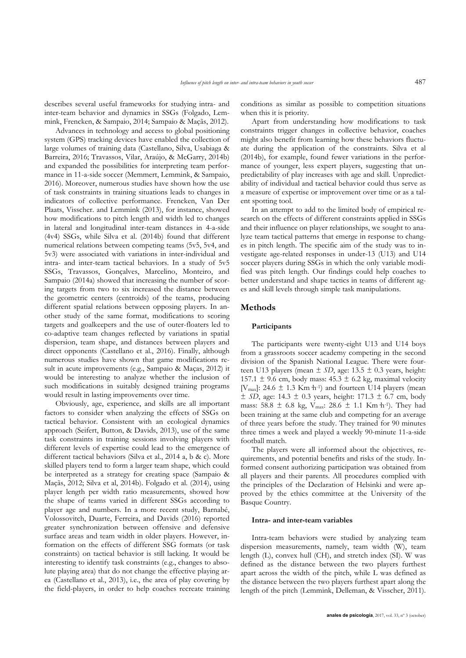describes several useful frameworks for studying intra- and inter-team behavior and dynamics in SSGs (Folgado, Lemmink, Frencken, & Sampaio, 2014; Sampaio & Maçãs, 2012).

Advances in technology and access to global positioning system (GPS) tracking devices have enabled the collection of large volumes of training data (Castellano, Silva, Usabiaga & Barreira, 2016; Travassos, Vilar, Araújo, & McGarry, 2014b) and expanded the possibilities for interpreting team performance in 11-a-side soccer (Memmert, Lemmink, & Sampaio, 2016). Moreover, numerous studies have shown how the use of task constraints in training situations leads to changes in indicators of collective performance. Frencken, Van Der Plaats, Visscher. and Lemmink (2013), for instance, showed how modifications to pitch length and width led to changes in lateral and longitudinal inter-team distances in 4-a-side (4v4) SSGs, while Silva et al. (2014b) found that different numerical relations between competing teams (5v5, 5v4, and 5v3) were associated with variations in inter-individual and intra- and inter-team tactical behaviors. In a study of 5v5 SSGs, Travassos, Gonçalves, Marcelino, Monteiro, and Sampaio (2014a) showed that increasing the number of scoring targets from two to six increased the distance between the geometric centers (centroids) of the teams, producing different spatial relations between opposing players. In another study of the same format, modifications to scoring targets and goalkeepers and the use of outer-floaters led to co-adaptive team changes reflected by variations in spatial dispersion, team shape, and distances between players and direct opponents (Castellano et al., 2016). Finally, although numerous studies have shown that game modifications result in acute improvements (e.g., Sampaio & Maças, 2012) it would be interesting to analyze whether the inclusion of such modifications in suitably designed training programs would result in lasting improvements over time.

Obviously, age, experience, and skills are all important factors to consider when analyzing the effects of SSGs on tactical behavior. Consistent with an ecological dynamics approach (Seifert, Button, & Davids, 2013), use of the same task constraints in training sessions involving players with different levels of expertise could lead to the emergence of different tactical behaviors (Silva et al., 2014 a, b & c). More skilled players tend to form a larger team shape, which could be interpreted as a strategy for creating space (Sampaio & Maçãs, 2012; Silva et al, 2014b). Folgado et al. (2014), using player length per width ratio measurements, showed how the shape of teams varied in different SSGs according to player age and numbers. In a more recent study, Barnabé, Volossovitch, Duarte, Ferreira, and Davids (2016) reported greater synchronization between offensive and defensive surface areas and team width in older players. However, information on the effects of different SSG formats (or task constraints) on tactical behavior is still lacking. It would be interesting to identify task constraints (e.g., changes to absolute playing area) that do not change the effective playing area (Castellano et al., 2013), i.e., the area of play covering by the field-players, in order to help coaches recreate training conditions as similar as possible to competition situations when this it is priority.

Apart from understanding how modifications to task constraints trigger changes in collective behavior, coaches might also benefit from learning how these behaviors fluctuate during the application of the constraints. Silva et al (2014b), for example, found fewer variations in the performance of younger, less expert players, suggesting that unpredictability of play increases with age and skill. Unpredictability of individual and tactical behavior could thus serve as a measure of expertise or improvement over time or as a talent spotting tool.

In an attempt to add to the limited body of empirical research on the effects of different constraints applied in SSGs and their influence on player relationships, we sought to analyze team tactical patterns that emerge in response to changes in pitch length. The specific aim of the study was to investigate age-related responses in under-13 (U13) and U14 soccer players during SSGs in which the only variable modified was pitch length. Our findings could help coaches to better understand and shape tactics in teams of different ages and skill levels through simple task manipulations.

#### **Methods**

#### **Participants**

The participants were twenty-eight U13 and U14 boys from a grassroots soccer academy competing in the second division of the Spanish National League. There were fourteen U13 players (mean  $\pm$  *SD*, age: 13.5  $\pm$  0.3 years, height: 157.1  $\pm$  9.6 cm, body mass: 45.3  $\pm$  6.2 kg, maximal velocity [ $V_{\text{max}}$ ]: 24.6  $\pm$  1.3 Km h<sup>-1</sup>) and fourteen U14 players (mean  $\pm$  *SD*, age: 14.3  $\pm$  0.3 years, height: 171.3  $\pm$  6.7 cm, body mass: 58.8  $\pm$  6.8 kg, V<sub>max</sub>: 28.6  $\pm$  1.1 Km h<sup>-1</sup>). They had been training at the same club and competing for an average of three years before the study. They trained for 90 minutes three times a week and played a weekly 90-minute 11-a-side football match.

The players were all informed about the objectives, requirements, and potential benefits and risks of the study. Informed consent authorizing participation was obtained from all players and their parents. All procedures complied with the principles of the Declaration of Helsinki and were approved by the ethics committee at the University of the Basque Country.

#### **Intra- and inter-team variables**

Intra-team behaviors were studied by analyzing team dispersion measurements, namely, team width (W), team length (L), convex hull (CH), and stretch index (SI). W was defined as the distance between the two players furthest apart across the width of the pitch, while L was defined as the distance between the two players furthest apart along the length of the pitch (Lemmink, Delleman, & Visscher, 2011).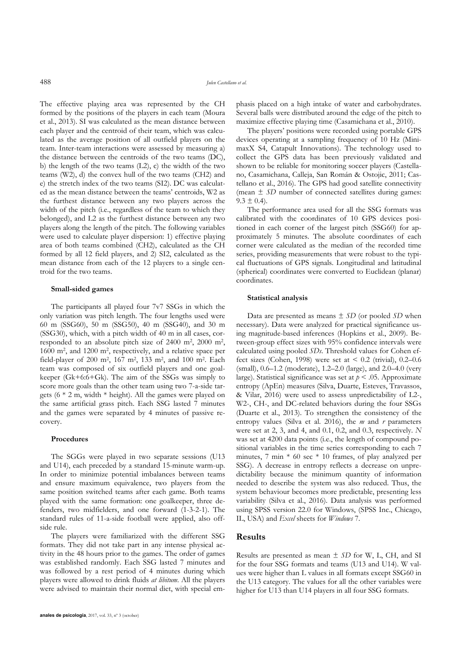The effective playing area was represented by the CH formed by the positions of the players in each team (Moura et al., 2013). SI was calculated as the mean distance between each player and the centroid of their team, which was calculated as the average position of all outfield players on the team. Inter-team interactions were assessed by measuring a) the distance between the centroids of the two teams (DC), b) the length of the two teams (L2), c) the width of the two teams (W2), d) the convex hull of the two teams (CH2) and e) the stretch index of the two teams (SI2). DC was calculated as the mean distance between the teams' centroids, W2 as the furthest distance between any two players across the width of the pitch (i.e., regardless of the team to which they belonged), and L2 as the furthest distance between any two players along the length of the pitch. The following variables were used to calculate player dispersion: 1) effective playing area of both teams combined (CH2), calculated as the CH formed by all 12 field players, and 2) SI2, calculated as the mean distance from each of the 12 players to a single centroid for the two teams.

## **Small-sided games**

The participants all played four 7v7 SSGs in which the only variation was pitch length. The four lengths used were 60 m (SSG60), 50 m (SSG50), 40 m (SSG40), and 30 m (SSG30), which, with a pitch width of 40 m in all cases, corresponded to an absolute pitch size of  $2400 \text{ m}^2$ ,  $2000 \text{ m}^2$ , 1600 m2, and 1200 m2, respectively, and a relative space per field-player of 200 m<sup>2</sup>, 167 m<sup>2</sup>, 133 m<sup>2</sup>, and 100 m<sup>2</sup>. Each team was composed of six outfield players and one goalkeeper (Gk+6:6+Gk). The aim of the SSGs was simply to score more goals than the other team using two 7-a-side targets  $(6 * 2 m, width * height)$ . All the games were played on the same artificial grass pitch. Each SSG lasted 7 minutes and the games were separated by 4 minutes of passive recovery.

### **Procedures**

The SGGs were played in two separate sessions (U13 and U14), each preceded by a standard 15-minute warm-up. In order to minimize potential imbalances between teams and ensure maximum equivalence, two players from the same position switched teams after each game. Both teams played with the same formation: one goalkeeper, three defenders, two midfielders, and one forward (1-3-2-1). The standard rules of 11-a-side football were applied, also offside rule.

The players were familiarized with the different SSG formats. They did not take part in any intense physical activity in the 48 hours prior to the games. The order of games was established randomly. Each SSG lasted 7 minutes and was followed by a rest period of 4 minutes during which players were allowed to drink fluids *at libitum*. All the players were advised to maintain their normal diet, with special emphasis placed on a high intake of water and carbohydrates. Several balls were distributed around the edge of the pitch to maximize effective playing time (Casamichana et al., 2010).

The players' positions were recorded using portable GPS devices operating at a sampling frequency of 10 Hz (MinimaxX S4, Catapult Innovations). The technology used to collect the GPS data has been previously validated and shown to be reliable for monitoring soccer players (Castellano, Casamichana, Calleja, San Román & Ostojic, 2011; Castellano et al., 2016). The GPS had good satellite connectivity (mean  $\pm$  *SD* number of connected satellites during games:  $9.3 \pm 0.4$ .

The performance area used for all the SSG formats was calibrated with the coordinates of 10 GPS devices positioned in each corner of the largest pitch (SSG60) for approximately 5 minutes. The absolute coordinates of each corner were calculated as the median of the recorded time series, providing measurements that were robust to the typical fluctuations of GPS signals. Longitudinal and latitudinal (spherical) coordinates were converted to Euclidean (planar) coordinates.

#### **Statistical analysis**

Data are presented as means ± *SD* (or pooled *SD* when necessary). Data were analyzed for practical significance using magnitude-based inferences (Hopkins et al., 2009). Between-group effect sizes with 95% confidence intervals were calculated using pooled *SDs*. Threshold values for Cohen effect sizes (Cohen, 1998) were set at  $\leq 0.2$  (trivial), 0.2–0.6 (small), 0.6–1.2 (moderate), 1.2–2.0 (large), and 2.0–4.0 (very large). Statistical significance was set at  $p < .05$ . Approximate entropy (ApEn) measures (Silva, Duarte, Esteves, Travassos, & Vilar, 2016) were used to assess unpredictability of L2-, W2-, CH-, and DC-related behaviors during the four SSGs (Duarte et al., 2013). To strengthen the consistency of the entropy values (Silva et al. 2016), the *m* and *r* parameters were set at 2, 3, and 4, and 0.1, 0.2, and 0.3, respectively. *N* was set at 4200 data points (i.e., the length of compound positional variables in the time series corresponding to each 7 minutes, 7 min \* 60 sec \* 10 frames, of play analyzed per SSG). A decrease in entropy reflects a decrease on unpredictability because the minimum quantity of information needed to describe the system was also reduced. Thus, the system behaviour becomes more predictable, presenting less variability (Silva et al., 2016). Data analysis was performed using SPSS version 22.0 for Windows, (SPSS Inc., Chicago, IL, USA) and *Excel* sheets for *Windows* 7.

## **Results**

Results are presented as mean ± *SD* for W, L, CH, and SI for the four SSG formats and teams (U13 and U14). W values were higher than L values in all formats except SSG60 in the U13 category. The values for all the other variables were higher for U13 than U14 players in all four SSG formats.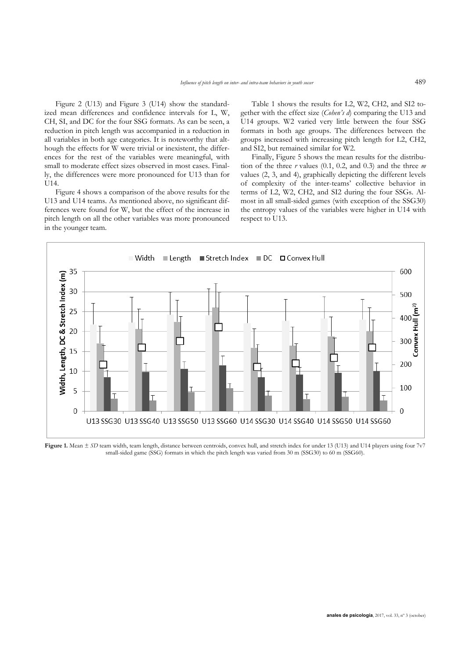Figure 2 (U13) and Figure 3 (U14) show the standardized mean differences and confidence intervals for L, W, CH, SI, and DC for the four SSG formats. As can be seen, a reduction in pitch length was accompanied in a reduction in all variables in both age categories. It is noteworthy that although the effects for W were trivial or inexistent, the differences for the rest of the variables were meaningful, with small to moderate effect sizes observed in most cases. Finally, the differences were more pronounced for U13 than for U14.

Figure 4 shows a comparison of the above results for the U13 and U14 teams. As mentioned above, no significant differences were found for W, but the effect of the increase in pitch length on all the other variables was more pronounced in the younger team.

Table 1 shows the results for L2, W2, CH2, and SI2 together with the effect size (*Cohen's d*) comparing the U13 and U14 groups. W2 varied very little between the four SSG formats in both age groups. The differences between the groups increased with increasing pitch length for L2, CH2, and SI2, but remained similar for W2.

Finally, Figure 5 shows the mean results for the distribution of the three *r* values (0.1, 0.2, and 0.3) and the three *m*  values (2, 3, and 4), graphically depicting the different levels of complexity of the inter-teams' collective behavior in terms of L2, W2, CH2, and SI2 during the four SSGs. Almost in all small-sided games (with exception of the SSG30) the entropy values of the variables were higher in U14 with respect to U13.



**Figure 1.** Mean  $\pm$  *SD* team width, team length, distance between centroids, convex hull, and stretch index for under 13 (U13) and U14 players using four 7v7 small-sided game (SSG) formats in which the pitch length was varied from 30 m (SSG30) to 60 m (SSG60).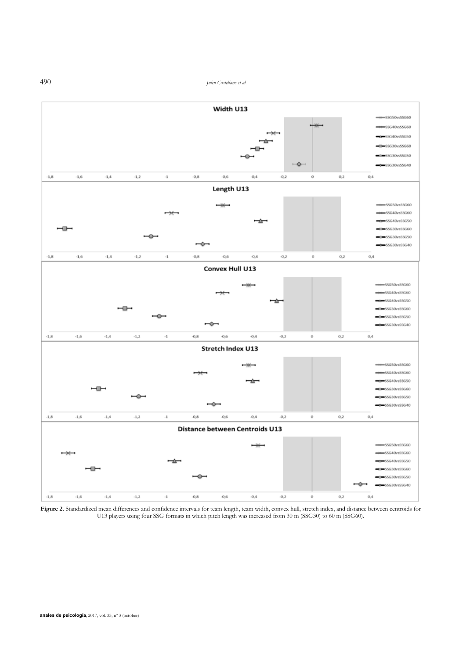490 *Julen Castellano et al.* 



Figure 2. Standardized mean differences and confidence intervals for team length, team width, convex hull, stretch index, and distance between centroids for U13 players using four SSG formats in which pitch length was increased from 30 m (SSG30) to 60 m (SSG60).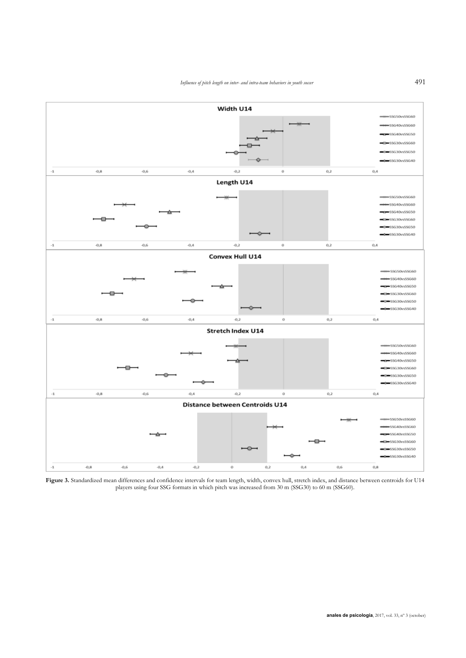

**Figure 3.** Standardized mean differences and confidence intervals for team length, width, convex hull, stretch index, and distance between centroids for U14 players using four SSG formats in which pitch was increased from 30 m (SSG30) to 60 m (SSG60).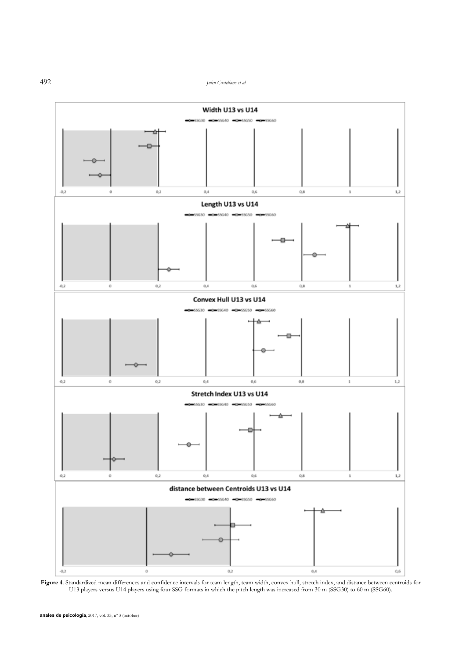492 *Julen Castellano et al.* 



Figure 4. Standardized mean differences and confidence intervals for team length, team width, convex hull, stretch index, and distance between centroids for U13 players versus U14 players using four SSG formats in which the pitch length was increased from 30 m (SSG30) to 60 m (SSG60).

**anales de psicología**, 2017, vol. 33, nº 3 (october)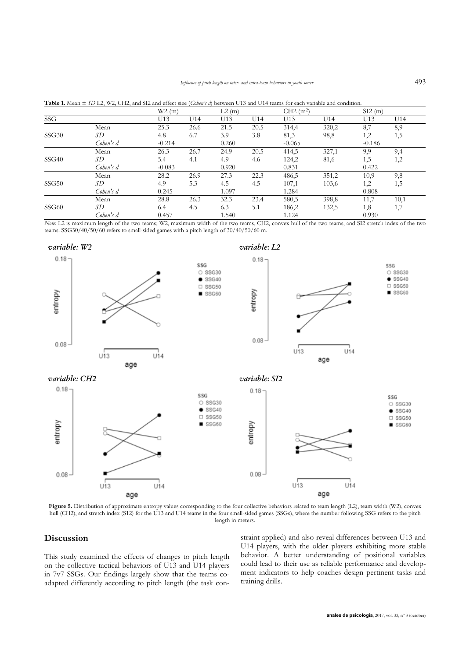|       |           | W2(m)    |      | L2(m) |      | CH2(m <sup>2</sup> ) |       | SI2(m)   |      |
|-------|-----------|----------|------|-------|------|----------------------|-------|----------|------|
| SSG   |           | U13      | U14  | U13   | U14  | U13                  | U14   | U13      | U14  |
|       | Mean      | 25.3     | 26.6 | 21.5  | 20.5 | 314,4                | 320,2 | 8,7      | 8,9  |
| SSG30 | SD        | 4.8      | 6.7  | 3.9   | 3.8  | 81,3                 | 98,8  | 1,2      | 1,5  |
|       | Cohen's d | $-0.214$ |      | 0.260 |      | $-0.065$             |       | $-0.186$ |      |
|       | Mean      | 26.3     | 26.7 | 24.9  | 20.5 | 414,5                | 327,1 | 9,9      | 9,4  |
| SSG40 | SD        | 5.4      | 4.1  | 4.9   | 4.6  | 124,2                | 81,6  | 1,5      | 1,2  |
|       | Cohen's d | $-0.083$ |      | 0.920 |      | 0.831                |       | 0.422    |      |
|       | Mean      | 28.2     | 26.9 | 27.3  | 22.3 | 486,5                | 351,2 | 10,9     | 9,8  |
| SSG50 | SD        | 4.9      | 5.3  | 4.5   | 4.5  | 107,1                | 103,6 | 1,2      | 1,5  |
|       | Cohen's d | 0.245    |      | 1.097 |      | 1.284                |       | 0.808    |      |
|       | Mean      | 28.8     | 26.3 | 32.3  | 23.4 | 580,5                | 398,8 | 11,7     | 10,1 |
| SSG60 | SD        | 6.4      | 4.5  | 6.3   | 5.1  | 186,2                | 132,5 | 1,8      | 1,7  |
|       | Cohen's d | 0.457    |      | 1.540 |      | 1.124                |       | 0.930    |      |

**Table 1.** Mean ± *SD* L2, W2, CH2, and SI2 and effect size (*Cohen's d*) between U13 and U14 teams for each variable and condition.

*Note*: L2 is maximum length of the two teams; W2, maximum width of the two teams, CH2, convex hull of the two teams, and SI2 stretch index of the two teams. SSG30/40/50/60 refers to small-sided games with a pitch length of 30/40/50/60 m.



Figure 5. Distribution of approximate entropy values corresponding to the four collective behaviors related to team length (L2), team width (W2), convex hull (CH2), and stretch index (S12) for the U13 and U14 teams in the four small-sided games (SSGs), where the number following SSG refers to the pitch length in meters.

# **Discussion**

This study examined the effects of changes to pitch length on the collective tactical behaviors of U13 and U14 players in 7v7 SSGs. Our findings largely show that the teams coadapted differently according to pitch length (the task constraint applied) and also reveal differences between U13 and U14 players, with the older players exhibiting more stable behavior. A better understanding of positional variables could lead to their use as reliable performance and development indicators to help coaches design pertinent tasks and training drills.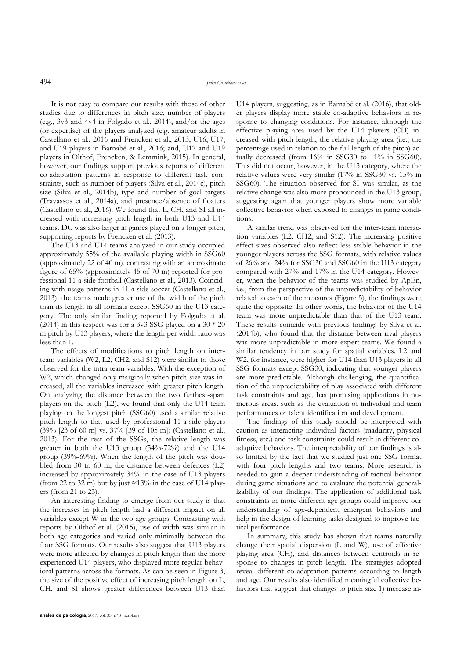It is not easy to compare our results with those of other studies due to differences in pitch size, number of players (e.g., 3v3 and 4v4 in Folgado et al., 2014), and/or the ages (or expertise) of the players analyzed (e.g. amateur adults in Castellano et al., 2016 and Frencken et al., 2013; U16, U17, and U19 players in Barnabé et al., 2016; and, U17 and U19 players in Olthof, Frencken, & Lemmink, 2015). In general, however, our findings support previous reports of different co-adaptation patterns in response to different task constraints, such as number of players (Silva et al., 2014c), pitch size (Silva et al., 2014b), type and number of goal targets (Travassos et al., 2014a), and presence/absence of floaters (Castellano et al., 2016). We found that L, CH, and SI all increased with increasing pitch length in both U13 and U14 teams. DC was also larger in games played on a longer pitch, supporting reports by Frencken et al. (2013).

The U13 and U14 teams analyzed in our study occupied approximately 55% of the available playing width in SSG60 (approximately 22 of 40 m), contrasting with an approximate figure of 65% (approximately 45 of 70 m) reported for professional 11-a-side football (Castellano et al., 2013). Coinciding with usage patterns in 11-a-side soccer (Castellano et al., 2013), the teams made greater use of the width of the pitch than its length in all formats except SSG60 in the U13 category. The only similar finding reported by Folgado et al. (2014) in this respect was for a 3v3 SSG played on a  $30 * 20$ m pitch by U13 players, where the length per width ratio was less than 1.

The effects of modifications to pitch length on interteam variables (W2, L2, CH2, and S12) were similar to those observed for the intra-team variables. With the exception of W2, which changed only marginally when pitch size was increased, all the variables increased with greater pitch length. On analyzing the distance between the two furthest-apart players on the pitch (L2), we found that only the U14 team playing on the longest pitch (SSG60) used a similar relative pitch length to that used by professional 11-a-side players (39% [23 of 60 m] vs. 37% [39 of 105 m]) (Castellano et al., 2013). For the rest of the SSGs, the relative length was greater in both the U13 group (54%-72%) and the U14 group (39%-69%). When the length of the pitch was doubled from 30 to 60 m, the distance between defences (L2) increased by approximately 34% in the case of U13 players (from 22 to 32 m) but by just  $\approx$  13% in the case of U14 players (from 21 to 23).

An interesting finding to emerge from our study is that the increases in pitch length had a different impact on all variables except W in the two age groups. Contrasting with reports by Olthof et al. (2015), use of width was similar in both age categories and varied only minimally between the four SSG formats. Our results also suggest that U13 players were more affected by changes in pitch length than the more experienced U14 players, who displayed more regular behavioral patterns across the formats. As can be seen in Figure 3, the size of the positive effect of increasing pitch length on L, CH, and SI shows greater differences between U13 than

**anales de psicología**, 2017, vol. 33, nº 3 (october)

U14 players, suggesting, as in Barnabé et al. (2016), that older players display more stable co-adaptive behaviors in response to changing conditions. For instance, although the effective playing area used by the U14 players (CH) increased with pitch length, the relative playing area (i.e., the percentage used in relation to the full length of the pitch) actually decreased (from 16% in SSG30 to 11% in SSG60). This did not occur, however, in the U13 category, where the relative values were very similar (17% in SSG30 vs. 15% in SSG60). The situation observed for SI was similar, as the relative change was also more pronounced in the U13 group, suggesting again that younger players show more variable collective behavior when exposed to changes in game conditions.

A similar trend was observed for the inter-team interaction variables (L2, CH2, and S12). The increasing positive effect sizes observed also reflect less stable behavior in the younger players across the SSG formats, with relative values of 26% and 24% for SSG30 and SSG60 in the U13 category compared with 27% and 17% in the U14 category. However, when the behavior of the teams was studied by ApEn, i.e., from the perspective of the unpredictability of behavior related to each of the measures (Figure 5), the findings were quite the opposite. In other words, the behavior of the U14 team was more unpredictable than that of the U13 team. These results coincide with previous findings by Silva et al. (2014b), who found that the distance between rival players was more unpredictable in more expert teams. We found a similar tendency in our study for spatial variables. L2 and W2, for instance, were higher for U14 than U13 players in all SSG formats except SSG30, indicating that younger players are more predictable. Although challenging, the quantification of the unpredictability of play associated with different task constraints and age, has promising applications in numerous areas, such as the evaluation of individual and team performances or talent identification and development.

The findings of this study should be interpreted with caution as interacting individual factors (madurity, physical fitness, etc.) and task constraints could result in different coadaptive behaviors. The interpretability of our findings is also limited by the fact that we studied just one SSG format with four pitch lengths and two teams. More research is needed to gain a deeper understanding of tactical behavior during game situations and to evaluate the potential generalizability of our findings. The application of additional task constraints in more different age groups could improve our understanding of age-dependent emergent behaviors and help in the design of learning tasks designed to improve tactical performance.

In summary, this study has shown that teams naturally change their spatial dispersion (L and W), use of effective playing area (CH), and distances between centroids in response to changes in pitch length. The strategies adopted reveal different co-adaptation patterns according to length and age. Our results also identified meaningful collective behaviors that suggest that changes to pitch size 1) increase in-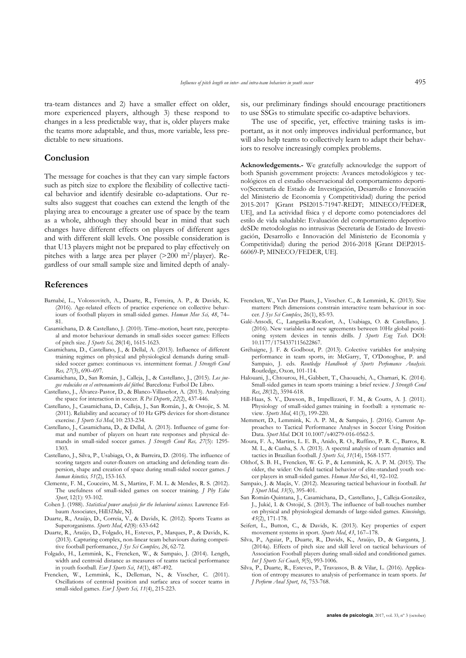tra-team distances and 2) have a smaller effect on older, more experienced players, although 3) these respond to changes in a less predictable way, that is, older players make the teams more adaptable, and thus, more variable, less predictable to new situations.

## **Conclusion**

The message for coaches is that they can vary simple factors such as pitch size to explore the flexibility of collective tactical behavior and identify desirable co-adaptations. Our results also suggest that coaches can extend the length of the playing area to encourage a greater use of space by the team as a whole, although they should bear in mind that such changes have different effects on players of different ages and with different skill levels. One possible consideration is that U13 players might not be prepared to play effectively on pitches with a large area per player (>200 m2/player). Regardless of our small sample size and limited depth of analy-

### **References**

- Barnabé, L., Volossovitch, A., Duarte, R., Ferreira, A. P., & Davids, K. (2016). Age-related effects of practice experience on collective behaviours of football players in small-sided games. *Human Mov Sci, 48*, 74– 81.
- Casamichana, D. & Castellano, J. (2010). Time–motion, heart rate, perceptual and motor behaviour demands in small-sides soccer games: Effects of pitch size. *J Sports Sci,* 28(14), 1615-1623.
- Casamichana, D., Castellano, J., & Dellal, A. (2013). Influence of different training regimes on physical and physiological demands during smallsided soccer games: continuous vs. intermittent format. *I Strength Cond Res, 27*(3), 690–697.
- Casamichana, D., San Román, J., Calleja, J., & Castellano, J., (2015). *Los juegos reducidos en el entrenamiento del fútbol*. Barcelona: Futbol De Libro.
- Castellano, J., Álvarez-Pastor, D., & Blanco-Villaseñor, A. (2013). Analyzing the space for interaction in soccer. *R Psi Deporte*, *22*(2), 437-446.
- Castellano, J., Casamichana, D., Calleja, J., San Román, J., & Ostojic, S. M. (2011). Reliability and accuracy of 10 Hz GPS devices for short-distance exercise. *J Sports Sci Med*, 10: 233-234.
- Castellano, J., Casamichana, D., & Dellal, A. (2013). Influence of game format and number of players on heart rate responses and physical demands in small-sided soccer games. *J Strength Cond Res, 27*(5): 1295- 1303.
- Castellano, J., Silva, P., Usabiaga, O., & Barreira, D. (2016). The influence of scoring targets and outer-floaters on attacking and defending team dispersion, shape and creation of space during small-sided soccer games. *J human kinetics, 51*(2), 153-163.
- Clemente, F. M., Couceiro, M. S., Martins, F. M. L. & Mendes, R. S. (2012). The usefulness of small-sided games on soccer training. *J Phy Educ Sport*, 12(1): 93-102.
- Cohen J. (1988). *Statistical power analysis for the behavioral sciences.* Lawrence Erlbaum Associates, Hill*SD*ale, NJ.
- Duarte, R., Araújo, D., Correia, V., & Davids, K. (2012). Sports Teams as Superorganisms. *Sports Med*, *42*(8): 633-642
- Duarte, R., Araújo, D., Folgado, H., Esteves, P., Marques, P., & Davids, K. (2013). Capturing complex, non-linear team behaviours during competitive football performance, *J Sys Sci Complex, 26*, 62-72.
- Folgado, H., Lemmink, K., Frencken, W., & Sampaio, J. (2014). Length, width and centroid distance as measures of teams tactical performance in youth football. *Eur J Sports Sci*, *14*(1), 487-492.
- Frencken, W., Lemmink, K., Delleman, N., & Visscher, C. (2011). Oscillations of centroid position and surface area of soccer teams in small-sided games. *Eur J Sports Sci, 11*(4), 215-223.

sis, our preliminary findings should encourage practitioners to use SSGs to stimulate specific co-adaptive behaviors.

The use of specific, yet, effective training tasks is important, as it not only improves individual performance, but will also help teams to collectively learn to adapt their behaviors to resolve increasingly complex problems.

**Acknowledgements.-** We gratefully acknowledge the support of both Spanish government projects: Avances metodológicos y tecnológicos en el estudio observacional del comportamiento deportivo(Secretaría de Estado de Investigación, Desarrollo e Innovación del Ministerio de Economía y Competitividad) during the period 2015-2017 [Grant PSI2015-71947-REDT; MINECO/FEDER, UE], and La actividad física y el deporte como potenciadores del estilo de vida saludable: Evaluación del comportamiento deportivo deSDe metodologías no intrusivas (Secretaría de Estado de Investigación, Desarrollo e Innovación del Ministerio de Economía y Competitividad) during the period 2016-2018 [Grant DEP2015- 66069-P; MINECO/FEDER, UE].

- Frencken, W., Van Der Plaats, J., Visscher. C., & Lemmink, K. (2013). Size matters: Pitch dimensions constrain interactive team behaviour in soccer. *J Sys Sci Complex*, 26(1), 85-93.
- Galé-Ansodi, C., Langarika-Rocafort, A., Usabiaga, O. & Castellano, J. (2016). New variables and new agreements between 10Hz global positioning system devices in tennis drills. *J Sports Eng Tech*. DOI: 10.1177/1754337115622867.
- Gréhaigne, J. F. & Godbout, P. (2013). Colective variables for analysing performance in team sports, in: McGarry, T, O'Donoghue, P. and Sampaio, J. eds. *Routledge Handbook of Sports Perfomance Analysis.* Routledge, Oxon, 101-114.
- Halouani, J., Chtourou, H., Gabbett, T., Chaouachi, A., Chamari, K. (2014). Small-sided games in team sports training: a brief review. *J Strength Cond Res*, *28*(12), 3594-618.
- Hill-Haas, S. V., Dawson, B., Impellizzeri, F. M., & Coutts, A. J. (2011). Physiology of small-sided games training in football: a systematic review. *Sports Med*, 41(3), 199-220.
- Memmert, D., Lemmink, K. A. P. M., & Sampaio, J. (2016). Current Approaches to Tactical Performance Analyses in Soccer Using Position Data. *Sport Med*. DOI 10.1007/s40279-016-0562-5.
- Moura, F. A., Martins, L. E. B., Anido, R. O., Ruffino, P. R. C., Barros, R. M. L., & Cunha, S. A. (2013). A spectral analysis of team dynamics and tactics in Brazilian football. *J Sports Sci*, *31*(14), 1568-1577.
- Olthof, S. B. H., Frencken, W. G. P., & Lemmink, K. A. P. M. (2015). The older, the wider: On-field tactical behavior of elite-standard youth soccer players in small-sided games. *Human Mov* Sci, 41, 92–102.
- Sampaio, J. & Maçãs, V. (2012). Measuring tactical behaviour in football. *Int J Sport Med, 33*(5), 395-401.
- San Román-Quintana, J., Casamichana, D., Castellano, J., Calleja-González, J., Jukić, I. & Ostojić, S. (2013). The influence of ball-touches number on physical and physiological demands of large-sided games*. Kinesiology, 45*(2), 171-178.
- Seifert, L., Button, C., & Davids, K. (2013). Key properties of expert movement systems in sport. *Sports Med*, *43*, 167–178.
- Silva, P., Aguiar, P., Duarte, R., Davids, K., Araújo, D., & Garganta, J. (2014a). Effects of pitch size and skill level on tactical behaviours of Association Football players during small-sided and conditioned games. *Int J Sports Sci Coach*, *9*(5), 993-1006.
- Silva, P., Duarte, R., Esteves, P., Travassos, B. & Vilar, L. (2016). Application of entropy measures to analysis of performance in team sports. *Int J Perform Anal Sport*, *16*, 753-768.